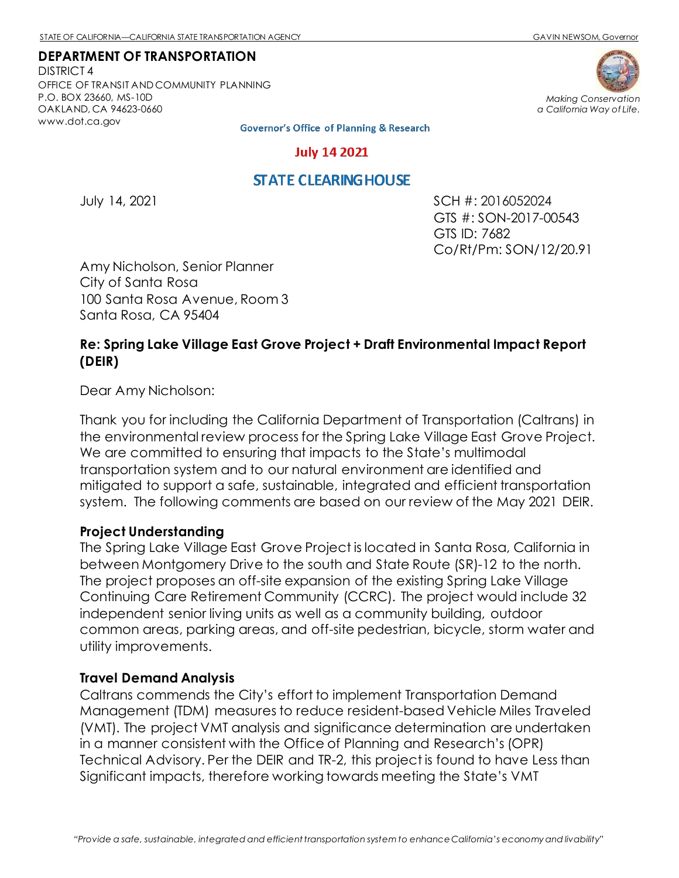DISTRICT 4 OFFICE OF TRANSIT AND COMMUNITY PLANNING P.O. BOX 23660, MS-10D OAKLAND, CA 94623-0660 [www.dot.ca.gov](http://www.dot.ca.gov/)





**Governor's Office of Planning & Research** 

#### **July 14 2021**

# **STATE CLEARING HOUSE**

July 14, 2021 SCH #: 2016052024 GTS #: SON-2017-00543 GTS ID: 7682 Co/Rt/Pm: SON/12/20.91

Amy Nicholson, Senior Planner City of Santa Rosa 100 Santa Rosa Avenue, Room 3 Santa Rosa, CA 95404

# **Re: Spring Lake Village East Grove Project + Draft Environmental Impact Report (DEIR)**

Dear Amy Nicholson:

Thank you for including the California Department of Transportation (Caltrans) in the environmental review process for the Spring Lake Village East Grove Project. We are committed to ensuring that impacts to the State's multimodal transportation system and to our natural environment are identified and mitigated to support a safe, sustainable, integrated and efficient transportation system. The following comments are based on our review of the May 2021 DEIR.

### **Project Understanding**

The Spring Lake Village East Grove Project is located in Santa Rosa, California in between Montgomery Drive to the south and State Route (SR)-12 to the north. The project proposes an off-site expansion of the existing Spring Lake Village Continuing Care Retirement Community (CCRC). The project would include 32 independent senior living units as well as a community building, outdoor common areas, parking areas, and off-site pedestrian, bicycle, storm water and utility improvements.

### **Travel Demand Analysis**

Caltrans commends the City's effort to implement Transportation Demand Management (TDM) measures to reduce resident-based Vehicle Miles Traveled (VMT). The project VMT analysis and significance determination are undertaken in a manner consistent with the Office of Planning and Research's (OPR) Technical Advisory. Per the DEIR and TR-2, this project is found to have Less than Significant impacts, therefore working towards meeting the State's VMT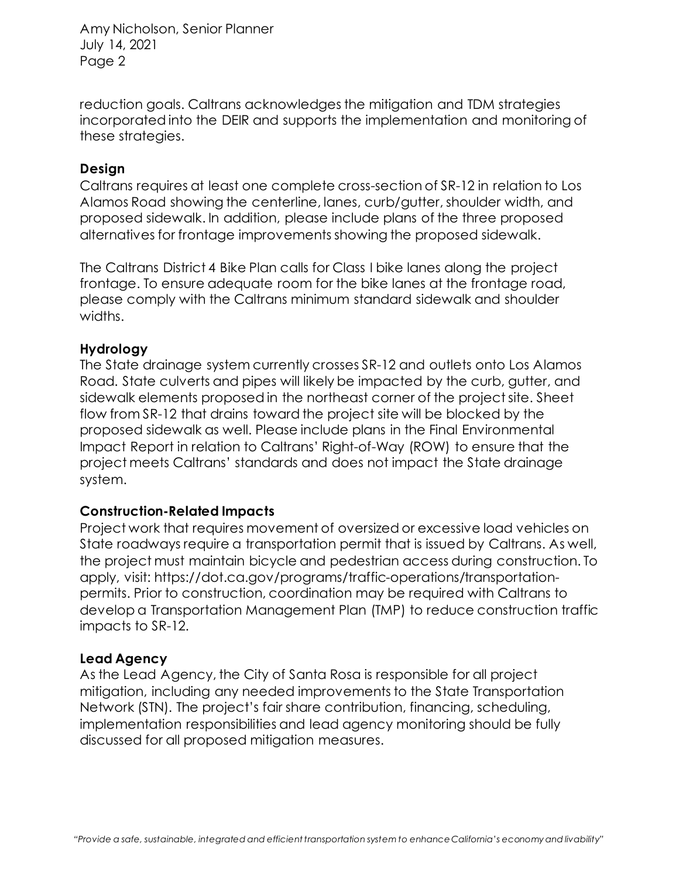Amy Nicholson, Senior Planner July 14, 2021 Page 2

reduction goals. Caltrans acknowledges the mitigation and TDM strategies incorporated into the DEIR and supports the implementation and monitoring of these strategies.

## **Design**

Caltrans requires at least one complete cross-section of SR-12 in relation to Los Alamos Road showing the centerline, lanes, curb/gutter, shoulder width, and proposed sidewalk. In addition, please include plans of the three proposed alternatives for frontage improvements showing the proposed sidewalk.

The [Caltrans District 4 Bike Plan](https://dot.ca.gov/caltrans-near-me/district-4/d4-popular-links/d4-bike-plan) calls for Class I bike lanes along the project frontage. To ensure adequate room for the bike lanes at the frontage road, please comply with the Caltrans minimum standard sidewalk and shoulder widths.

## **Hydrology**

The State drainage system currently crosses SR-12 and outlets onto Los Alamos Road. State culverts and pipes will likely be impacted by the curb, gutter, and sidewalk elements proposed in the northeast corner of the project site. Sheet flow from SR-12 that drains toward the project site will be blocked by the proposed sidewalk as well. Please include plans in the Final Environmental Impact Report in relation to Caltrans' Right-of-Way (ROW) to ensure that the project meets Caltrans' standards and does not impact the State drainage system.

## **Construction-Related Impacts**

Project work that requires movement of oversized or excessive load vehicles on State roadways require a transportation permit that is issued by Caltrans. As well, the project must maintain bicycle and pedestrian access during construction. To apply, visit: [https://dot.ca.gov/programs/traffic-operations/transportation](https://dot.ca.gov/programs/traffic-operations/transportation-permits)[permits.](https://dot.ca.gov/programs/traffic-operations/transportation-permits) Prior to construction, coordination may be required with Caltrans to develop a Transportation Management Plan (TMP) to reduce construction traffic impacts to SR-12.

### **Lead Agency**

As the Lead Agency, the City of Santa Rosa is responsible for all project mitigation, including any needed improvements to the State Transportation Network (STN). The project's fair share contribution, financing, scheduling, implementation responsibilities and lead agency monitoring should be fully discussed for all proposed mitigation measures.